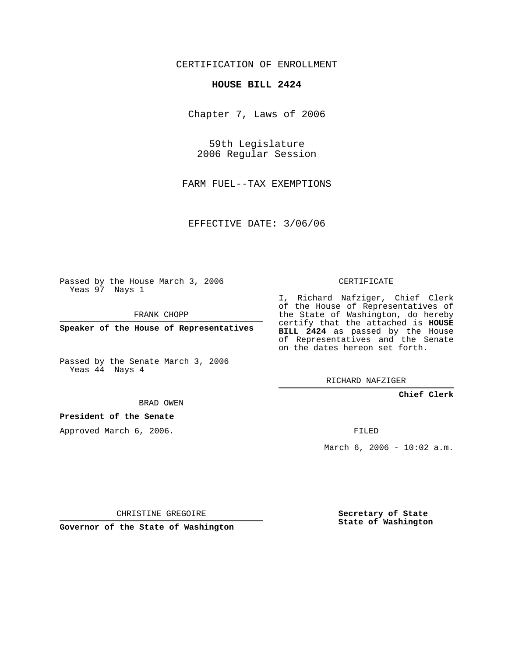CERTIFICATION OF ENROLLMENT

## **HOUSE BILL 2424**

Chapter 7, Laws of 2006

59th Legislature 2006 Regular Session

FARM FUEL--TAX EXEMPTIONS

EFFECTIVE DATE: 3/06/06

Passed by the House March 3, 2006 Yeas 97 Nays 1

FRANK CHOPP

**Speaker of the House of Representatives**

Passed by the Senate March 3, 2006 Yeas 44 Nays 4

#### BRAD OWEN

### **President of the Senate**

Approved March 6, 2006.

#### CERTIFICATE

I, Richard Nafziger, Chief Clerk of the House of Representatives of the State of Washington, do hereby certify that the attached is **HOUSE BILL 2424** as passed by the House of Representatives and the Senate on the dates hereon set forth.

RICHARD NAFZIGER

**Chief Clerk**

FILED

March  $6, 2006 - 10:02$  a.m.

CHRISTINE GREGOIRE

**Governor of the State of Washington**

**Secretary of State State of Washington**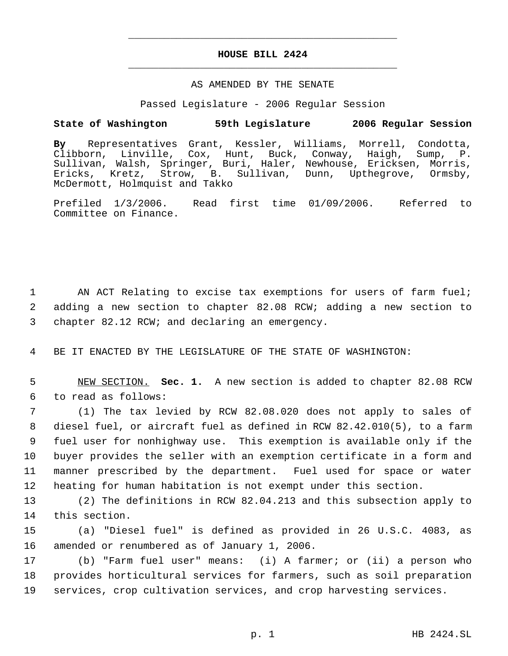# **HOUSE BILL 2424** \_\_\_\_\_\_\_\_\_\_\_\_\_\_\_\_\_\_\_\_\_\_\_\_\_\_\_\_\_\_\_\_\_\_\_\_\_\_\_\_\_\_\_\_\_

\_\_\_\_\_\_\_\_\_\_\_\_\_\_\_\_\_\_\_\_\_\_\_\_\_\_\_\_\_\_\_\_\_\_\_\_\_\_\_\_\_\_\_\_\_

#### AS AMENDED BY THE SENATE

Passed Legislature - 2006 Regular Session

# **State of Washington 59th Legislature 2006 Regular Session**

**By** Representatives Grant, Kessler, Williams, Morrell, Condotta, Clibborn, Linville, Cox, Hunt, Buck, Conway, Haigh, Sump, P. Sullivan, Walsh, Springer, Buri, Haler, Newhouse, Ericksen, Morris,<br>Ericks, Kretz, Strow, B. Sullivan, Dunn, Upthegrove, Ormsby, Ericks, Kretz, Strow, B. Sullivan, Dunn, Upthegrove, Ormsby, McDermott, Holmquist and Takko

Prefiled 1/3/2006. Read first time 01/09/2006. Referred to Committee on Finance.

1 AN ACT Relating to excise tax exemptions for users of farm fuel; 2 adding a new section to chapter 82.08 RCW; adding a new section to 3 chapter 82.12 RCW; and declaring an emergency.

4 BE IT ENACTED BY THE LEGISLATURE OF THE STATE OF WASHINGTON:

 5 NEW SECTION. **Sec. 1.** A new section is added to chapter 82.08 RCW 6 to read as follows:

 (1) The tax levied by RCW 82.08.020 does not apply to sales of diesel fuel, or aircraft fuel as defined in RCW 82.42.010(5), to a farm fuel user for nonhighway use. This exemption is available only if the buyer provides the seller with an exemption certificate in a form and manner prescribed by the department. Fuel used for space or water heating for human habitation is not exempt under this section.

13 (2) The definitions in RCW 82.04.213 and this subsection apply to 14 this section.

15 (a) "Diesel fuel" is defined as provided in 26 U.S.C. 4083, as 16 amended or renumbered as of January 1, 2006.

17 (b) "Farm fuel user" means: (i) A farmer; or (ii) a person who 18 provides horticultural services for farmers, such as soil preparation 19 services, crop cultivation services, and crop harvesting services.